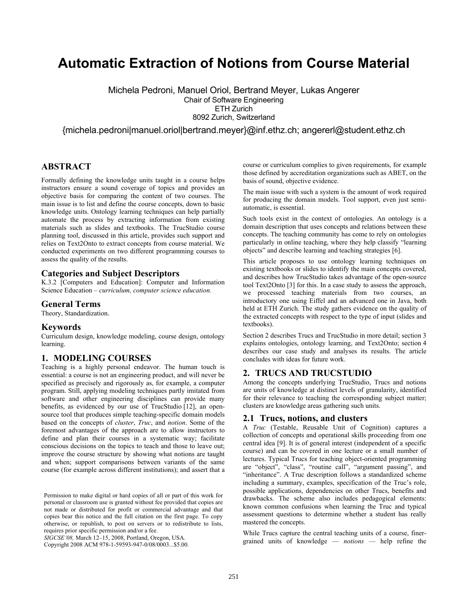# **Automatic Extraction of Notions from Course Material**

Michela Pedroni, Manuel Oriol, Bertrand Meyer, Lukas Angerer Chair of Software Engineering ETH Zurich 8092 Zurich, Switzerland

{michela.pedroni|manuel.oriol|bertrand.meyer}@inf.ethz.ch; angererl@student.ethz.ch

# **ABSTRACT**

Formally defining the knowledge units taught in a course helps instructors ensure a sound coverage of topics and provides an objective basis for comparing the content of two courses. The main issue is to list and define the course concepts, down to basic knowledge units. Ontology learning techniques can help partially automate the process by extracting information from existing materials such as slides and textbooks. The TrucStudio course planning tool, discussed in this article, provides such support and relies on Text2Onto to extract concepts from course material. We conducted experiments on two different programming courses to assess the quality of the results.

#### **Categories and Subject Descriptors**

K.3.2 [Computers and Education]: Computer and Information Science Education – *curriculum, computer science education.* 

#### **General Terms**

Theory, Standardization.

#### **Keywords**

Curriculum design, knowledge modeling, course design, ontology learning.

## **1. MODELING COURSES**

Teaching is a highly personal endeavor. The human touch is essential: a course is not an engineering product, and will never be specified as precisely and rigorously as, for example, a computer program. Still, applying modeling techniques partly imitated from software and other engineering disciplines can provide many benefits, as evidenced by our use of TrucStudio [12], an opensource tool that produces simple teaching-specific domain models based on the concepts of *cluster*, *Truc*, and *notion*. Some of the foremost advantages of the approach are to allow instructors to define and plan their courses in a systematic way; facilitate conscious decisions on the topics to teach and those to leave out; improve the course structure by showing what notions are taught and when; support comparisons between variants of the same course (for example across different institutions); and assert that a

*SIGCSE'08,* March 12–15, 2008, Portland, Oregon, USA.

Copyright 2008 ACM 978-1-59593-947-0/08/0003...\$5.00.

course or curriculum complies to given requirements, for example those defined by accreditation organizations such as ABET, on the basis of sound, objective evidence.

The main issue with such a system is the amount of work required for producing the domain models. Tool support, even just semiautomatic, is essential.

Such tools exist in the context of ontologies. An ontology is a domain description that uses concepts and relations between these concepts. The teaching community has come to rely on ontologies particularly in online teaching, where they help classify "learning objects" and describe learning and teaching strategies [6].

This article proposes to use ontology learning techniques on existing textbooks or slides to identify the main concepts covered, and describes how TrucStudio takes advantage of the open-source tool Text2Onto [3] for this. In a case study to assess the approach, we processed teaching materials from two courses, an introductory one using Eiffel and an advanced one in Java, both held at ETH Zurich. The study gathers evidence on the quality of the extracted concepts with respect to the type of input (slides and textbooks).

Section 2 describes Trucs and TrucStudio in more detail; section 3 explains ontologies, ontology learning, and Text2Onto; section 4 describes our case study and analyses its results. The article concludes with ideas for future work.

#### **2. TRUCS AND TRUCSTUDIO**

Among the concepts underlying TrucStudio, Trucs and notions are units of knowledge at distinct levels of granularity, identified for their relevance to teaching the corresponding subject matter; clusters are knowledge areas gathering such units.

#### **2.1 Trucs, notions, and clusters**

A *Truc* (Testable, Reusable Unit of Cognition) captures a collection of concepts and operational skills proceeding from one central idea [9]. It is of general interest (independent of a specific course) and can be covered in one lecture or a small number of lectures. Typical Trucs for teaching object-oriented programming are "object", "class", "routine call", "argument passing", and "inheritance". A Truc description follows a standardized scheme including a summary, examples, specification of the Truc's role, possible applications, dependencies on other Trucs, benefits and drawbacks. The scheme also includes pedagogical elements: known common confusions when learning the Truc and typical assessment questions to determine whether a student has really mastered the concepts.

While Trucs capture the central teaching units of a course, finergrained units of knowledge — *notions* — help refine the

Permission to make digital or hard copies of all or part of this work for personal or classroom use is granted without fee provided that copies are not made or distributed for profit or commercial advantage and that copies bear this notice and the full citation on the first page. To copy otherwise, or republish, to post on servers or to redistribute to lists, requires prior specific permission and/or a fee.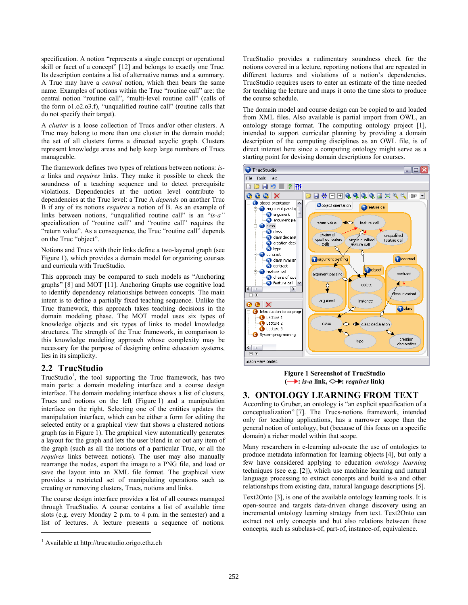specification. A notion "represents a single concept or operational skill or facet of a concept" [12] and belongs to exactly one Truc. Its description contains a list of alternative names and a summary. A Truc may have a *central* notion, which then bears the same name. Examples of notions within the Truc "routine call" are: the central notion "routine call", "multi-level routine call" (calls of the form o1.o2.o3.f), "unqualified routine call" (routine calls that do not specify their target).

A *cluster* is a loose collection of Trucs and/or other clusters. A Truc may belong to more than one cluster in the domain model; the set of all clusters forms a directed acyclic graph. Clusters represent knowledge areas and help keep large numbers of Trucs manageable.

The framework defines two types of relations between notions: *isa* links and *requires* links. They make it possible to check the soundness of a teaching sequence and to detect prerequisite violations. Dependencies at the notion level contribute to dependencies at the Truc level: a Truc A *depends* on another Truc B if any of its notions *requires* a notion of B. As an example of links between notions, "unqualified routine call" is an "*is-a"* specialization of "routine call" and "routine call" requires the "return value". As a consequence, the Truc "routine call" depends on the Truc "object".

Notions and Trucs with their links define a two-layered graph (see Figure 1), which provides a domain model for organizing courses and curricula with TrucStudio.

This approach may be compared to such models as "Anchoring graphs" [8] and MOT [11]. Anchoring Graphs use cognitive load to identify dependency relationships between concepts. The main intent is to define a partially fixed teaching sequence. Unlike the Truc framework, this approach takes teaching decisions in the domain modeling phase. The MOT model uses six types of knowledge objects and six types of links to model knowledge structures. The strength of the Truc framework, in comparison to this knowledge modeling approach whose complexity may be necessary for the purpose of designing online education systems, lies in its simplicity.

### **2.2 TrucStudio**

TrucStudio<sup>1</sup>, the tool supporting the Truc framework, has two main parts: a domain modeling interface and a course design interface. The domain modeling interface shows a list of clusters, Trucs and notions on the left (Figure 1) and a manipulation interface on the right. Selecting one of the entities updates the manipulation interface, which can be either a form for editing the selected entity or a graphical view that shows a clustered notions graph (as in Figure 1). The graphical view automatically generates a layout for the graph and lets the user blend in or out any item of the graph (such as all the notions of a particular Truc, or all the *requires* links between notions). The user may also manually rearrange the nodes, export the image to a PNG file, and load or save the layout into an XML file format. The graphical view provides a restricted set of manipulating operations such as creating or removing clusters, Trucs, notions and links.

The course design interface provides a list of all courses managed through TrucStudio. A course contains a list of available time slots (e.g. every Monday 2 p.m. to 4 p.m. in the semester) and a list of lectures. A lecture presents a sequence of notions.

l

TrucStudio provides a rudimentary soundness check for the notions covered in a lecture, reporting notions that are repeated in different lectures and violations of a notion's dependencies. TrucStudio requires users to enter an estimate of the time needed for teaching the lecture and maps it onto the time slots to produce the course schedule.

The domain model and course design can be copied to and loaded from XML files. Also available is partial import from OWL, an ontology storage format. The computing ontology project [1], intended to support curricular planning by providing a domain description of the computing disciplines as an OWL file, is of direct interest here since a computing ontology might serve as a starting point for devising domain descriptions for courses.



**Figure 1 Screenshot of TrucStudio**   $(\rightarrow : i \cdot s - a \cdot \text{link}, \diamond \rightarrow : \text{requires link})$ 

### **3. ONTOLOGY LEARNING FROM TEXT**

According to Gruber, an ontology is "an explicit specification of a conceptualization" [7]. The Trucs-notions framework, intended only for teaching applications, has a narrower scope than the general notion of ontology, but (because of this focus on a specific domain) a richer model within that scope.

Many researchers in e-learning advocate the use of ontologies to produce metadata information for learning objects [4], but only a few have considered applying to education *ontology learning*  techniques (see e.g. [2]), which use machine learning and natural language processing to extract concepts and build is-a and other relationships from existing data, natural language descriptions [5].

Text2Onto [3], is one of the available ontology learning tools. It is open-source and targets data-driven change discovery using an incremental ontology learning strategy from text. Text2Onto can extract not only concepts and but also relations between these concepts, such as subclass-of, part-of, instance-of, equivalence.

<sup>1</sup> Available at http://trucstudio.origo.ethz.ch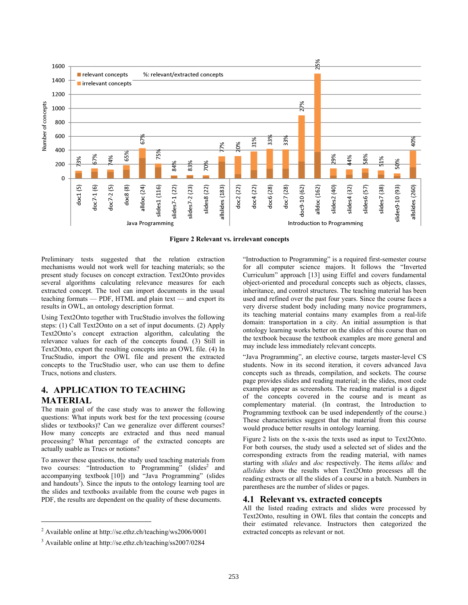

**Figure 2 Relevant vs. irrelevant concepts**

Preliminary tests suggested that the relation extraction mechanisms would not work well for teaching materials; so the present study focuses on concept extraction. Text2Onto provides several algorithms calculating relevance measures for each extracted concept. The tool can import documents in the usual teaching formats — PDF, HTML and plain text — and export its results in OWL, an ontology description format.

Using Text2Onto together with TrucStudio involves the following steps: (1) Call Text2Onto on a set of input documents. (2) Apply Text2Onto's concept extraction algorithm, calculating the relevance values for each of the concepts found. (3) Still in Text2Onto, export the resulting concepts into an OWL file. (4) In TrucStudio, import the OWL file and present the extracted concepts to the TrucStudio user, who can use them to define Trucs, notions and clusters.

# **4. APPLICATION TO TEACHING MATERIAL**

The main goal of the case study was to answer the following questions: What inputs work best for the text processing (course slides or textbooks)? Can we generalize over different courses? How many concepts are extracted and thus need manual processing? What percentage of the extracted concepts are actually usable as Trucs or notions?

To answer these questions, the study used teaching materials from two courses: "Introduction to Programming" (slides<sup>2</sup> and accompanying textbook [10]) and "Java Programming" (slides and handouts<sup>3</sup>). Since the inputs to the ontology learning tool are the slides and textbooks available from the course web pages in PDF, the results are dependent on the quality of these documents.

1

"Introduction to Programming" is a required first-semester course for all computer science majors. It follows the "Inverted Curriculum" approach [13] using Eiffel and covers fundamental object-oriented and procedural concepts such as objects, classes, inheritance, and control structures. The teaching material has been used and refined over the past four years. Since the course faces a very diverse student body including many novice programmers, its teaching material contains many examples from a real-life domain: transportation in a city. An initial assumption is that ontology learning works better on the slides of this course than on the textbook because the textbook examples are more general and may include less immediately relevant concepts.

"Java Programming", an elective course, targets master-level CS students. Now in its second iteration, it covers advanced Java concepts such as threads, compilation, and sockets. The course page provides slides and reading material; in the slides, most code examples appear as screenshots. The reading material is a digest of the concepts covered in the course and is meant as complementary material. (In contrast, the Introduction to Programming textbook can be used independently of the course.) These characteristics suggest that the material from this course would produce better results in ontology learning.

Figure 2 lists on the x-axis the texts used as input to Text2Onto. For both courses, the study used a selected set of slides and the corresponding extracts from the reading material, with names starting with *slides* and *doc* respectively. The items *alldoc* and *allslides* show the results when Text2Onto processes all the reading extracts or all the slides of a course in a batch. Numbers in parentheses are the number of slides or pages.

## **4.1 Relevant vs. extracted concepts**

All the listed reading extracts and slides were processed by Text2Onto, resulting in OWL files that contain the concepts and their estimated relevance. Instructors then categorized the extracted concepts as relevant or not.

<sup>2</sup> Available online at http://se.ethz.ch/teaching/ws2006/0001

<sup>&</sup>lt;sup>3</sup> Available online at http://se.ethz.ch/teaching/ss2007/0284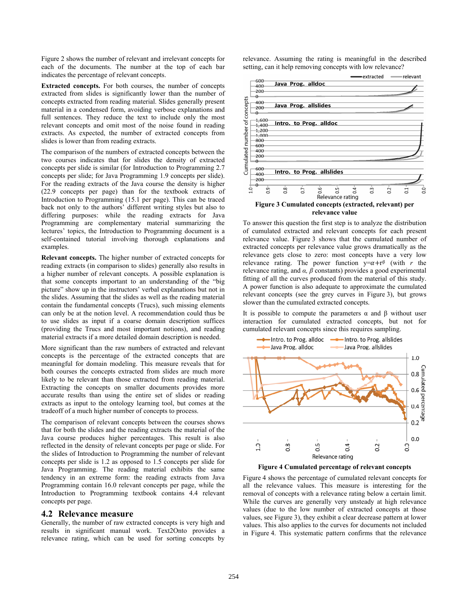Figure 2 shows the number of relevant and irrelevant concepts for each of the documents. The number at the top of each bar indicates the percentage of relevant concepts.

**Extracted concepts.** For both courses, the number of concepts extracted from slides is significantly lower than the number of concepts extracted from reading material. Slides generally present material in a condensed form, avoiding verbose explanations and full sentences. They reduce the text to include only the most relevant concepts and omit most of the noise found in reading extracts. As expected, the number of extracted concepts from slides is lower than from reading extracts.

The comparison of the numbers of extracted concepts between the two courses indicates that for slides the density of extracted concepts per slide is similar (for Introduction to Programming 2.7 concepts per slide; for Java Programming 1.9 concepts per slide). For the reading extracts of the Java course the density is higher (22.9 concepts per page) than for the textbook extracts of Introduction to Programming (15.1 per page). This can be traced back not only to the authors' different writing styles but also to differing purposes: while the reading extracts for Java Programming are complementary material summarizing the lectures' topics, the Introduction to Programming document is a self-contained tutorial involving thorough explanations and examples.

**Relevant concepts.** The higher number of extracted concepts for reading extracts (in comparison to slides) generally also results in a higher number of relevant concepts. A possible explanation is that some concepts important to an understanding of the "big picture" show up in the instructors' verbal explanations but not in the slides. Assuming that the slides as well as the reading material contain the fundamental concepts (Trucs), such missing elements can only be at the notion level. A recommendation could thus be to use slides as input if a coarse domain description suffices (providing the Trucs and most important notions), and reading material extracts if a more detailed domain description is needed.

More significant than the raw numbers of extracted and relevant concepts is the percentage of the extracted concepts that are meaningful for domain modeling. This measure reveals that for both courses the concepts extracted from slides are much more likely to be relevant than those extracted from reading material. Extracting the concepts on smaller documents provides more accurate results than using the entire set of slides or reading extracts as input to the ontology learning tool, but comes at the tradeoff of a much higher number of concepts to process.

The comparison of relevant concepts between the courses shows that for both the slides and the reading extracts the material of the Java course produces higher percentages. This result is also reflected in the density of relevant concepts per page or slide. For the slides of Introduction to Programming the number of relevant concepts per slide is 1.2 as opposed to 1.5 concepts per slide for Java Programming. The reading material exhibits the same tendency in an extreme form: the reading extracts from Java Programming contain 16.0 relevant concepts per page, while the Introduction to Programming textbook contains 4.4 relevant concepts per page.

#### **4.2 Relevance measure**

Generally, the number of raw extracted concepts is very high and results in significant manual work. Text2Onto provides a relevance rating, which can be used for sorting concepts by

relevance. Assuming the rating is meaningful in the described setting, can it help removing concepts with low relevance?



To answer this question the first step is to analyze the distribution of cumulated extracted and relevant concepts for each present relevance value. Figure 3 shows that the cumulated number of extracted concepts per relevance value grows dramatically as the relevance gets close to zero: most concepts have a very low relevance rating. The power function  $y = \alpha + r^{\beta}$  (with *r* the relevance rating, and *α, β* constants) provides a good experimental fitting of all the curves produced from the material of this study. A power function is also adequate to approximate the cumulated relevant concepts (see the grey curves in Figure 3), but grows slower than the cumulated extracted concepts.

It is possible to compute the parameters α and β without user interaction for cumulated extracted concepts, but not for cumulated relevant concepts since this requires sampling.



**Figure 4 Cumulated percentage of relevant concepts**

Figure 4 shows the percentage of cumulated relevant concepts for all the relevance values. This measure is interesting for the removal of concepts with a relevance rating below a certain limit. While the curves are generally very unsteady at high relevance values (due to the low number of extracted concepts at those values, see Figure 3), they exhibit a clear decrease pattern at lower values. This also applies to the curves for documents not included in Figure 4. This systematic pattern confirms that the relevance